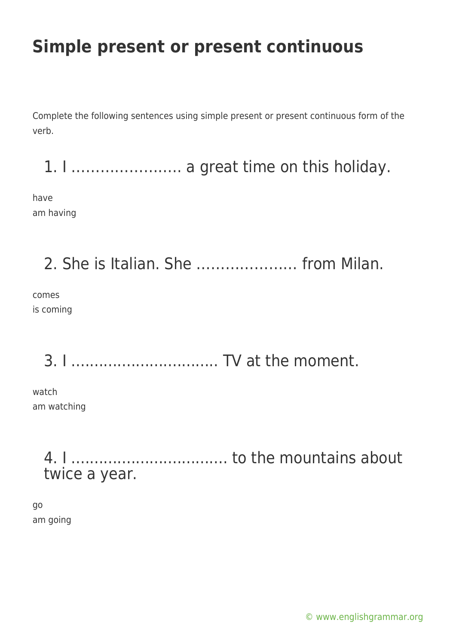# **Simple present or present continuous**

Complete the following sentences using simple present or present continuous form of the verb.

1. I ………………….. a great time on this holiday.

have am having

2. She is Italian. She ………………… from Milan.

comes is coming

3. I ................................ TV at the moment.

watch am watching

> 4. I .................................. to the mountains about twice a year.

go am going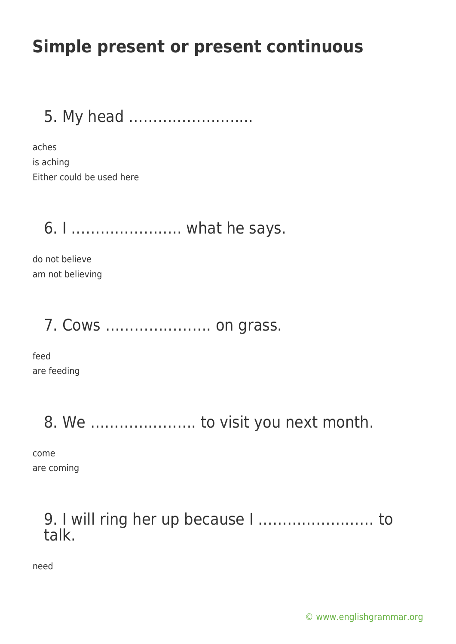# **Simple present or present continuous**

5. My head ………………….....

aches is aching Either could be used here

## 6. I ………………….. what he says.

do not believe am not believing

## 7. Cows …………………. on grass.

feed are feeding

## 8. We …………………. to visit you next month.

come are coming

### 9. I will ring her up because I …………………… to talk.

need